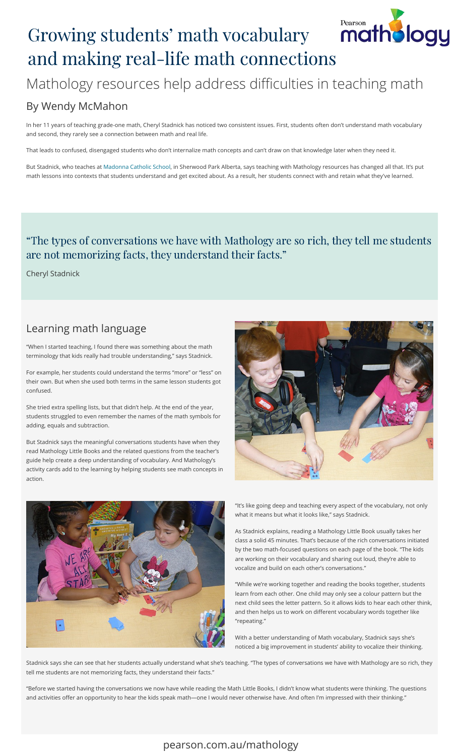# Growing students' math vocabulary Growing [s](https://www.pearson.com.au/mathology)tudents' math vocabulary **f**<br>and making real-life math connections



#### By Wendy McMahon

In her 11 years of teaching grade-one math, Cheryl Stadnick has noticed two consistent issues. First, students often don't understand math vocabulary and second, they rarely see a connection between math and real life.

That leads to confused, disengaged students who don't internalize math concepts and can't draw on that knowledge later when they need it.

But Stadnick[,](https://mcs.eics.ab.ca/) who teaches at Madonna Catholic School, in Sherwood Park Alberta, says teaching with Mathology resources has changed all that. It's put math lessons into contexts that students understand and get excited about. As a result, her students connect with and retain what they've learned.

## "The types of conversations we have with Mathology are so rich, they tell me students "The types of conversations we have with Mathology are<br>are not memorizing facts, they understand their facts."

Cheryl Stadnick

#### Learning math language

"When I started teaching, I found there was something about the math terminology that kids really had trouble understanding," says Stadnick.

For example, her students could understand the terms "more" or "less" on their own. But when she used both terms in the same lesson students got confused.

She tried extra spelling lists, but that didn't help. At the end of the year, students struggled to even remember the names of the math symbols for adding, equals and subtraction.

But Stadnick says the meaningful conversations students have when they read Mathology Little Books and the related questions from the teacher's guide help create a deep understanding of vocabulary. And Mathology's activity cards add to the learning by helping students see math concepts in action.





"It's like going deep and teaching every aspect of the vocabulary, not only what it means but what it looks like," says Stadnick.

As Stadnick explains, reading a Mathology Little Book usually takes her class a solid 45 minutes. That's because of the rich conversations initiated by the two math-focused questions on each page of the book. "The kids are working on their vocabulary and sharing out loud, they're able to vocalize and build on each other's conversations."

"While we're working together and reading the books together, students learn from each other. One child may only see a colour pattern but the next child sees the letter pattern. So it allows kids to hear each other think, and then helps us to work on different vocabulary words together like "repeating."

With a better understanding of Math vocabulary, Stadnick says she's noticed a big improvement in students' ability to vocalize their thinking.

Stadnick says she can see that her students actually understand what she's teaching. "The types of conversations we have with Mathology are so rich, they tell me students are not memorizing facts, they understand their facts."

"Before we started having the conversations we now have while reading the Math Little Books, I didn't know what students were thinking. The questions and activities offer an opportunity to hear the kids speak math—one I would never otherwise have. And often I'm impressed with their thinking."

#### [pearson.com.au/mathology](https://www.pearson.com.au/mathology)